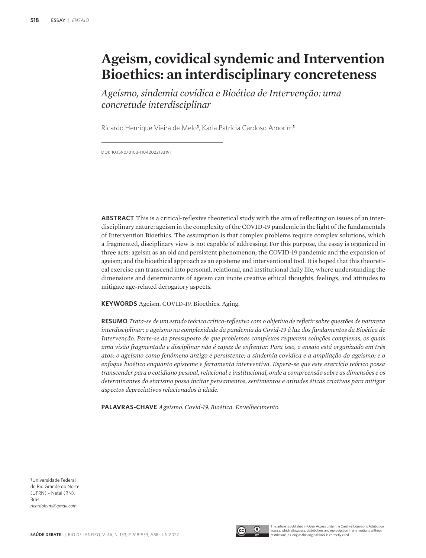# **Ageism, covidical syndemic and Intervention Bioethics: an interdisciplinary concreteness**

*Ageísmo, sindemia covídica e Bioética de Intervenção: uma concretude interdisciplinar*

Ricardo Henrique Vieira de Melo**1**, Karla Patrícia Cardoso Amorim**<sup>1</sup>**

DOI: 10.1590/0103-1104202213319I

**ABSTRACT** This is a critical-reflexive theoretical study with the aim of reflecting on issues of an interdisciplinary nature: ageism in the complexity of the COVID-19 pandemic in the light of the fundamentals of Intervention Bioethics. The assumption is that complex problems require complex solutions, which a fragmented, disciplinary view is not capable of addressing. For this purpose, the essay is organized in three acts: ageism as an old and persistent phenomenon; the COVID-19 pandemic and the expansion of ageism; and the bioethical approach as an episteme and interventional tool. It is hoped that this theoretical exercise can transcend into personal, relational, and institutional daily life, where understanding the dimensions and determinants of ageism can incite creative ethical thoughts, feelings, and attitudes to mitigate age-related derogatory aspects.

**KEYWORDS** Ageism. COVID-19. Bioethics. Aging.

**RESUMO** *Trata-se de um estudo teórico crítico-reflexivo com o objetivo de refletir sobre questões de natureza interdisciplinar: o ageísmo na complexidade da pandemia da Covid-19 à luz dos fundamentos da Bioética de Intervenção. Parte-se do pressuposto de que problemas complexos requerem soluções complexas, os quais uma visão fragmentada e disciplinar não é capaz de enfrentar. Para isso, o ensaio está organizado em três atos: o ageísmo como fenômeno antigo e persistente; a sindemia covídica e a ampliação do ageísmo; e o enfoque bioético enquanto episteme e ferramenta interventiva. Espera-se que este exercício teórico possa transcender para o cotidiano pessoal, relacional e institucional, onde a compreensão sobre as dimensões e os determinantes do etarismo possa incitar pensamentos, sentimentos e atitudes éticas criativas para mitigar aspectos depreciativos relacionados à idade.*

**PALAVRAS-CHAVE** *Ageísmo. Covid-19. Bioética. Envelhecimento.*

**<sup>1</sup>**Universidade Federal do Rio Grande do Norte (UFRN) – Natal (RN), Brasil. *ricardohvm@gmail.com*





This article is published in Open Access under the Creative Commons Attributio license, which allows use, distribution, and reproduction in any medium, without restrictions, as long as the original work is correctly cited.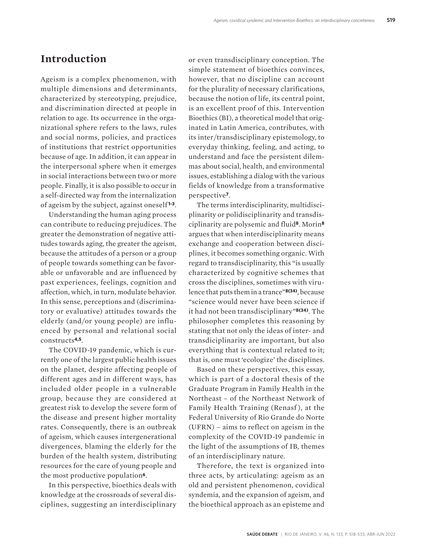### **Introduction**

Ageism is a complex phenomenon, with multiple dimensions and determinants, characterized by stereotyping, prejudice, and discrimination directed at people in relation to age. Its occurrence in the organizational sphere refers to the laws, rules and social norms, policies, and practices of institutions that restrict opportunities because of age. In addition, it can appear in the interpersonal sphere when it emerges in social interactions between two or more people. Finally, it is also possible to occur in a self-directed way from the internalization of ageism by the subject, against oneself **1-3**.

Understanding the human aging process can contribute to reducing prejudices. The greater the demonstration of negative attitudes towards aging, the greater the ageism, because the attitudes of a person or a group of people towards something can be favorable or unfavorable and are influenced by past experiences, feelings, cognition and affection, which, in turn, modulate behavior. In this sense, perceptions and (discriminatory or evaluative) attitudes towards the elderly (and/or young people) are influenced by personal and relational social constructs**4,5**.

The COVID-19 pandemic, which is currently one of the largest public health issues on the planet, despite affecting people of different ages and in different ways, has included older people in a vulnerable group, because they are considered at greatest risk to develop the severe form of the disease and present higher mortality rates. Consequently, there is an outbreak of ageism, which causes intergenerational divergences, blaming the elderly for the burden of the health system, distributing resources for the care of young people and the most productive population**6**.

In this perspective, bioethics deals with knowledge at the crossroads of several disciplines, suggesting an interdisciplinary

or even transdisciplinary conception. The simple statement of bioethics convinces, however, that no discipline can account for the plurality of necessary clarifications, because the notion of life, its central point, is an excellent proof of this. Intervention Bioethics (BI), a theoretical model that originated in Latin America, contributes, with its inter/transdisciplinary epistemology, to everyday thinking, feeling, and acting, to understand and face the persistent dilemmas about social, health, and environmental issues, establishing a dialog with the various fields of knowledge from a transformative perspective**7**.

The terms interdisciplinarity, multidisciplinarity or polidisciplinarity and transdisciplinarity are polysemic and fluid**8**. Morin**<sup>8</sup>** argues that when interdisciplinarity means exchange and cooperation between disciplines, it becomes something organic. With regard to transdisciplinarity, this "is usually characterized by cognitive schemes that cross the disciplines, sometimes with virulence that puts them in a trance"**8(34)**, because "science would never have been science if it had not been transdisciplinary"**8(34)**. The philosopher completes this reasoning by stating that not only the ideas of inter- and transdiciplinarity are important, but also everything that is contextual related to it; that is, one must 'ecologize' the disciplines.

Based on these perspectives, this essay, which is part of a doctoral thesis of the Graduate Program in Family Health in the Northeast – of the Northeast Network of Family Health Training (Renasf), at the Federal University of Rio Grande do Norte (UFRN) – aims to reflect on ageism in the complexity of the COVID-19 pandemic in the light of the assumptions of IB, themes of an interdisciplinary nature.

Therefore, the text is organized into three acts, by articulating: ageism as an old and persistent phenomenon, covidical syndemia, and the expansion of ageism, and the bioethical approach as an episteme and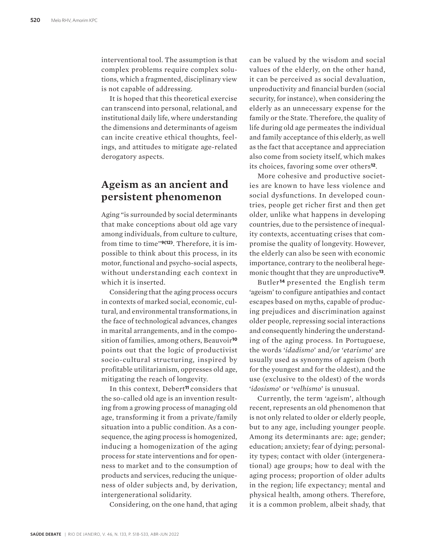interventional tool. The assumption is that complex problems require complex solutions, which a fragmented, disciplinary view is not capable of addressing.

It is hoped that this theoretical exercise can transcend into personal, relational, and institutional daily life, where understanding the dimensions and determinants of ageism can incite creative ethical thoughts, feelings, and attitudes to mitigate age-related derogatory aspects.

# **Ageism as an ancient and persistent phenomenon**

Aging "is surrounded by social determinants that make conceptions about old age vary among individuals, from culture to culture, from time to time"**9(12)**. Therefore, it is impossible to think about this process, in its motor, functional and psycho-social aspects, without understanding each context in which it is inserted.

Considering that the aging process occurs in contexts of marked social, economic, cultural, and environmental transformations, in the face of technological advances, changes in marital arrangements, and in the composition of families, among others, Beauvoir**<sup>10</sup>** points out that the logic of productivist socio-cultural structuring, inspired by profitable utilitarianism, oppresses old age, mitigating the reach of longevity.

In this context, Debert**11** considers that the so-called old age is an invention resulting from a growing process of managing old age, transforming it from a private/family situation into a public condition. As a consequence, the aging process is homogenized, inducing a homogenization of the aging process for state interventions and for openness to market and to the consumption of products and services, reducing the uniqueness of older subjects and, by derivation, intergenerational solidarity.

Considering, on the one hand, that aging

can be valued by the wisdom and social values of the elderly, on the other hand, it can be perceived as social devaluation, unproductivity and financial burden (social security, for instance), when considering the elderly as an unnecessary expense for the family or the State. Therefore, the quality of life during old age permeates the individual and family acceptance of this elderly, as well as the fact that acceptance and appreciation also come from society itself, which makes its choices, favoring some over others**12**.

More cohesive and productive societies are known to have less violence and social dysfunctions. In developed countries, people get richer first and then get older, unlike what happens in developing countries, due to the persistence of inequality contexts, accentuating crises that compromise the quality of longevity. However, the elderly can also be seen with economic importance, contrary to the neoliberal hegemonic thought that they are unproductive**13**.

Butler**14** presented the English term 'ageism' to configure antipathies and contact escapes based on myths, capable of producing prejudices and discrimination against older people, repressing social interactions and consequently hindering the understanding of the aging process. In Portuguese, the words '*idadismo*' and/or '*etarismo*' are usually used as synonyms of ageism (both for the youngest and for the oldest), and the use (exclusive to the oldest) of the words '*idosismo*' or '*velhismo*' is unusual.

Currently, the term 'ageism', although recent, represents an old phenomenon that is not only related to older or elderly people, but to any age, including younger people. Among its determinants are: age; gender; education; anxiety; fear of dying; personality types; contact with older (intergenerational) age groups; how to deal with the aging process; proportion of older adults in the region; life expectancy; mental and physical health, among others. Therefore, it is a common problem, albeit shady, that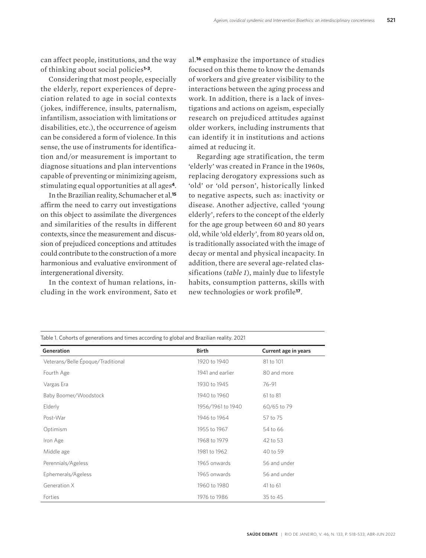can affect people, institutions, and the way of thinking about social policies**1-3**.

Considering that most people, especially the elderly, report experiences of depreciation related to age in social contexts ( jokes, indifference, insults, paternalism, infantilism, association with limitations or disabilities, etc.), the occurrence of ageism can be considered a form of violence. In this sense, the use of instruments for identification and/or measurement is important to diagnose situations and plan interventions capable of preventing or minimizing ageism, stimulating equal opportunities at all ages**4**.

In the Brazilian reality, Schumacher et al.**<sup>15</sup>** affirm the need to carry out investigations on this object to assimilate the divergences and similarities of the results in different contexts, since the measurement and discussion of prejudiced conceptions and attitudes could contribute to the construction of a more harmonious and evaluative environment of intergenerational diversity.

In the context of human relations, including in the work environment, Sato et

al.**16** emphasize the importance of studies focused on this theme to know the demands of workers and give greater visibility to the interactions between the aging process and work. In addition, there is a lack of investigations and actions on ageism, especially research on prejudiced attitudes against older workers, including instruments that can identify it in institutions and actions aimed at reducing it.

Regarding age stratification, the term 'elderly' was created in France in the 1960s, replacing derogatory expressions such as 'old' or 'old person', historically linked to negative aspects, such as: inactivity or disease. Another adjective, called 'young elderly', refers to the concept of the elderly for the age group between 60 and 80 years old, while 'old elderly', from 80 years old on, is traditionally associated with the image of decay or mental and physical incapacity. In addition, there are several age-related classifications (*table 1*), mainly due to lifestyle habits, consumption patterns, skills with new technologies or work profile**17**.

| Table 1. Cohorts of generations and times according to global and Brazilian reality. 2021 |                   |                      |
|-------------------------------------------------------------------------------------------|-------------------|----------------------|
| Generation                                                                                | <b>Birth</b>      | Current age in years |
| Veterans/Belle Époque/Traditional                                                         | 1920 to 1940      | 81 to 101            |
| Fourth Age                                                                                | 1941 and earlier  | 80 and more          |
| Vargas Era                                                                                | 1930 to 1945      | 76-91                |
| Baby Boomer/Woodstock                                                                     | 1940 to 1960      | 61 to 81             |
| Elderly                                                                                   | 1956/1961 to 1940 | 60/65 to 79          |
| Post-War                                                                                  | 1946 to 1964      | 57 to 75             |
| Optimism                                                                                  | 1955 to 1967      | 54 to 66             |
| Iron Age                                                                                  | 1968 to 1979      | 42 to 53             |
| Middle age                                                                                | 1981 to 1962      | 40 to 59             |
| Perennials/Ageless                                                                        | 1965 onwards      | 56 and under         |
| Ephemerals/Ageless                                                                        | 1965 onwards      | 56 and under         |
| Generation X                                                                              | 1960 to 1980      | 41 to 61             |
| Forties                                                                                   | 1976 to 1986      | 35 to 45             |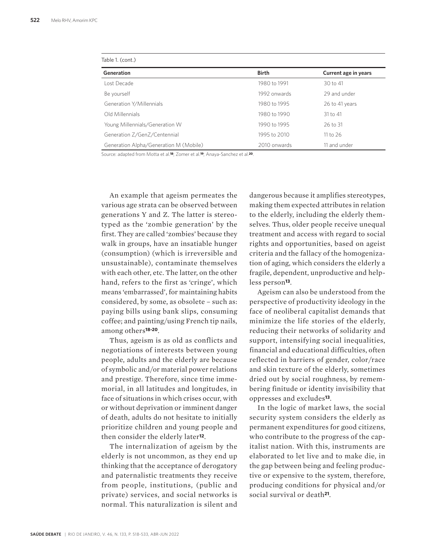| Table 1. (cont.)                       |              |                      |  |
|----------------------------------------|--------------|----------------------|--|
| Generation                             | <b>Birth</b> | Current age in years |  |
| Lost Decade                            | 1980 to 1991 | 30 to 41             |  |
| Be yourself                            | 1992 onwards | 29 and under         |  |
| Generation Y/Millennials               | 1980 to 1995 | 26 to 41 years       |  |
| Old Millennials                        | 1980 to 1990 | $31$ to $41$         |  |
| Young Millennials/Generation W         | 1990 to 1995 | 26 to 31             |  |
| Generation Z/GenZ/Centennial           | 1995 to 2010 | 11 to 26             |  |
| Generation Alpha/Generation M (Mobile) | 2010 onwards | 11 and under         |  |

Source: adapted from Motta et al.**18**; Zomer et al.**19**; Anaya-Sanchez et al.**20**.

An example that ageism permeates the various age strata can be observed between generations Y and Z. The latter is stereotyped as the 'zombie generation' by the first. They are called 'zombies' because they walk in groups, have an insatiable hunger (consumption) (which is irreversible and unsustainable), contaminate themselves with each other, etc. The latter, on the other hand, refers to the first as 'cringe', which means 'embarrassed', for maintaining habits considered, by some, as obsolete – such as: paying bills using bank slips, consuming coffee; and painting/using French tip nails, among others**18-20**.

Thus, ageism is as old as conflicts and negotiations of interests between young people, adults and the elderly are because of symbolic and/or material power relations and prestige. Therefore, since time immemorial, in all latitudes and longitudes, in face of situations in which crises occur, with or without deprivation or imminent danger of death, adults do not hesitate to initially prioritize children and young people and then consider the elderly later**12**.

The internalization of ageism by the elderly is not uncommon, as they end up thinking that the acceptance of derogatory and paternalistic treatments they receive from people, institutions, (public and private) services, and social networks is normal. This naturalization is silent and

dangerous because it amplifies stereotypes, making them expected attributes in relation to the elderly, including the elderly themselves. Thus, older people receive unequal treatment and access with regard to social rights and opportunities, based on ageist criteria and the fallacy of the homogenization of aging, which considers the elderly a fragile, dependent, unproductive and helpless person**13**.

Ageism can also be understood from the perspective of productivity ideology in the face of neoliberal capitalist demands that minimize the life stories of the elderly, reducing their networks of solidarity and support, intensifying social inequalities, financial and educational difficulties, often reflected in barriers of gender, color/race and skin texture of the elderly, sometimes dried out by social roughness, by remembering finitude or identity invisibility that oppresses and excludes**13**.

In the logic of market laws, the social security system considers the elderly as permanent expenditures for good citizens, who contribute to the progress of the capitalist nation. With this, instruments are elaborated to let live and to make die, in the gap between being and feeling productive or expensive to the system, therefore, producing conditions for physical and/or social survival or death**21**.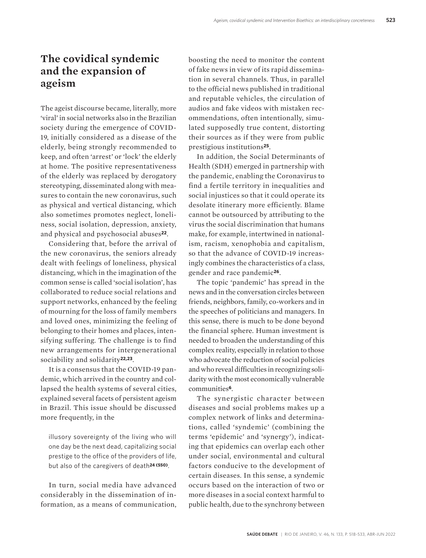# **The covidical syndemic and the expansion of ageism**

The ageist discourse became, literally, more 'viral' in social networks also in the Brazilian society during the emergence of COVID-19, initially considered as a disease of the elderly, being strongly recommended to keep, and often 'arrest' or 'lock' the elderly at home. The positive representativeness of the elderly was replaced by derogatory stereotyping, disseminated along with measures to contain the new coronavirus, such as physical and vertical distancing, which also sometimes promotes neglect, loneliness, social isolation, depression, anxiety, and physical and psychosocial abuses**22**.

Considering that, before the arrival of the new coronavirus, the seniors already dealt with feelings of loneliness, physical distancing, which in the imagination of the common sense is called 'social isolation', has collaborated to reduce social relations and support networks, enhanced by the feeling of mourning for the loss of family members and loved ones, minimizing the feeling of belonging to their homes and places, intensifying suffering. The challenge is to find new arrangements for intergenerational sociability and solidarity**22,23**.

It is a consensus that the COVID-19 pandemic, which arrived in the country and collapsed the health systems of several cities, explained several facets of persistent ageism in Brazil. This issue should be discussed more frequently, in the

illusory sovereignty of the living who will one day be the next dead, capitalizing social prestige to the office of the providers of life, but also of the caregivers of death**24 (550)**.

In turn, social media have advanced considerably in the dissemination of information, as a means of communication, boosting the need to monitor the content of fake news in view of its rapid dissemination in several channels. Thus, in parallel to the official news published in traditional and reputable vehicles, the circulation of audios and fake videos with mistaken recommendations, often intentionally, simulated supposedly true content, distorting their sources as if they were from public prestigious institutions**25**.

In addition, the Social Determinants of Health (SDH) emerged in partnership with the pandemic, enabling the Coronavirus to find a fertile territory in inequalities and social injustices so that it could operate its desolate itinerary more efficiently. Blame cannot be outsourced by attributing to the virus the social discrimination that humans make, for example, intertwined in nationalism, racism, xenophobia and capitalism, so that the advance of COVID-19 increasingly combines the characteristics of a class, gender and race pandemic**26**.

The topic 'pandemic' has spread in the news and in the conversation circles between friends, neighbors, family, co-workers and in the speeches of politicians and managers. In this sense, there is much to be done beyond the financial sphere. Human investment is needed to broaden the understanding of this complex reality, especially in relation to those who advocate the reduction of social policies and who reveal difficulties in recognizing solidarity with the most economically vulnerable communities**6**.

The synergistic character between diseases and social problems makes up a complex network of links and determinations, called 'syndemic' (combining the terms 'epidemic' and 'synergy'), indicating that epidemics can overlap each other under social, environmental and cultural factors conducive to the development of certain diseases. In this sense, a syndemic occurs based on the interaction of two or more diseases in a social context harmful to public health, due to the synchrony between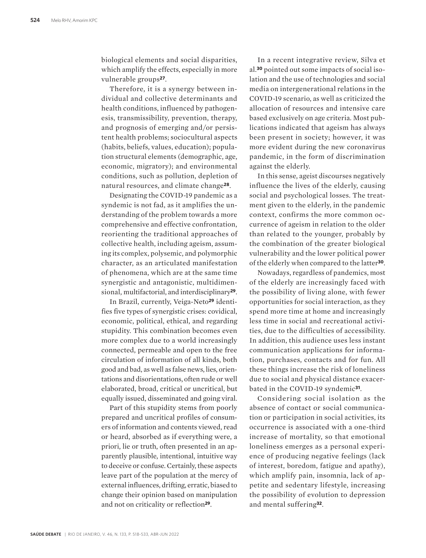biological elements and social disparities, which amplify the effects, especially in more vulnerable groups**27**.

Therefore, it is a synergy between individual and collective determinants and health conditions, influenced by pathogenesis, transmissibility, prevention, therapy, and prognosis of emerging and/or persistent health problems; sociocultural aspects (habits, beliefs, values, education); population structural elements (demographic, age, economic, migratory); and environmental conditions, such as pollution, depletion of natural resources, and climate change**28**.

Designating the COVID-19 pandemic as a syndemic is not fad, as it amplifies the understanding of the problem towards a more comprehensive and effective confrontation, reorienting the traditional approaches of collective health, including ageism, assuming its complex, polysemic, and polymorphic character, as an articulated manifestation of phenomena, which are at the same time synergistic and antagonistic, multidimensional, multifactorial, and interdisciplinary**29**.

In Brazil, currently, Veiga-Neto**29** identifies five types of synergistic crises: covidical, economic, political, ethical, and regarding stupidity. This combination becomes even more complex due to a world increasingly connected, permeable and open to the free circulation of information of all kinds, both good and bad, as well as false news, lies, orientations and disorientations, often rude or well elaborated, broad, critical or uncritical, but equally issued, disseminated and going viral.

Part of this stupidity stems from poorly prepared and uncritical profiles of consumers of information and contents viewed, read or heard, absorbed as if everything were, a priori, lie or truth, often presented in an apparently plausible, intentional, intuitive way to deceive or confuse. Certainly, these aspects leave part of the population at the mercy of external influences, drifting, erratic, biased to change their opinion based on manipulation and not on criticality or reflection**29**.

In a recent integrative review, Silva et al.**30** pointed out some impacts of social isolation and the use of technologies and social media on intergenerational relations in the COVID-19 scenario, as well as criticized the allocation of resources and intensive care based exclusively on age criteria. Most publications indicated that ageism has always been present in society; however, it was more evident during the new coronavirus pandemic, in the form of discrimination against the elderly.

In this sense, ageist discourses negatively influence the lives of the elderly, causing social and psychological losses. The treatment given to the elderly, in the pandemic context, confirms the more common occurrence of ageism in relation to the older than related to the younger, probably by the combination of the greater biological vulnerability and the lower political power of the elderly when compared to the latter**30**.

Nowadays, regardless of pandemics, most of the elderly are increasingly faced with the possibility of living alone, with fewer opportunities for social interaction, as they spend more time at home and increasingly less time in social and recreational activities, due to the difficulties of accessibility. In addition, this audience uses less instant communication applications for information, purchases, contacts and for fun. All these things increase the risk of loneliness due to social and physical distance exacerbated in the COVID-19 syndemic**31**.

Considering social isolation as the absence of contact or social communication or participation in social activities, its occurrence is associated with a one-third increase of mortality, so that emotional loneliness emerges as a personal experience of producing negative feelings (lack of interest, boredom, fatigue and apathy), which amplify pain, insomnia, lack of appetite and sedentary lifestyle, increasing the possibility of evolution to depression and mental suffering**32**.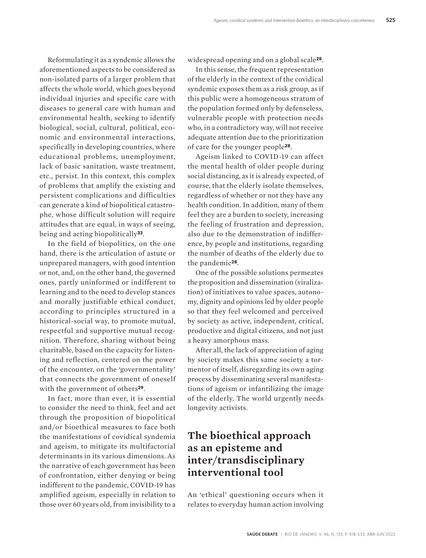Reformulating it as a syndemic allows the aforementioned aspects to be considered as non-isolated parts of a larger problem that affects the whole world, which goes beyond individual injuries and specific care with diseases to general care with human and environmental health, seeking to identify biological, social, cultural, political, economic and environmental interactions, specifically in developing countries, where educational problems, unemployment, lack of basic sanitation, waste treatment, etc., persist. In this context, this complex of problems that amplify the existing and persistent complications and difficulties can generate a kind of biopolitical catastrophe, whose difficult solution will require attitudes that are equal, in ways of seeing, being and acting biopolitically**33**.

In the field of biopolitics, on the one hand, there is the articulation of astute or unprepared managers, with good intention or not, and, on the other hand, the governed ones, partly uninformed or indifferent to learning and to the need to develop stances and morally justifiable ethical conduct, according to principles structured in a historical-social way, to promote mutual, respectful and supportive mutual recognition. Therefore, sharing without being charitable, based on the capacity for listening and reflection, centered on the power of the encounter, on the 'governmentality' that connects the government of oneself with the government of others**29**.

In fact, more than ever, it is essential to consider the need to think, feel and act through the proposition of biopolitical and/or bioethical measures to face both the manifestations of covidical syndemia and ageism, to mitigate its multifactorial determinants in its various dimensions. As the narrative of each government has been of confrontation, either denying or being indifferent to the pandemic, COVID-19 has amplified ageism, especially in relation to those over 60 years old, from invisibility to a widespread opening and on a global scale**28**.

In this sense, the frequent representation of the elderly in the context of the covidical syndemic exposes them as a risk group, as if this public were a homogeneous stratum of the population formed only by defenseless, vulnerable people with protection needs who, in a contradictory way, will not receive adequate attention due to the prioritization of care for the younger people**28**.

Ageism linked to COVID-19 can affect the mental health of older people during social distancing, as it is already expected, of course, that the elderly isolate themselves, regardless of whether or not they have any health condition. In addition, many of them feel they are a burden to society, increasing the feeling of frustration and depression, also due to the demonstration of indifference, by people and institutions, regarding the number of deaths of the elderly due to the pandemic**28**.

One of the possible solutions permeates the proposition and dissemination (viralization) of initiatives to value spaces, autonomy, dignity and opinions led by older people so that they feel welcomed and perceived by society as active, independent, critical, productive and digital citizens, and not just a heavy amorphous mass.

After all, the lack of appreciation of aging by society makes this same society a tormentor of itself, disregarding its own aging process by disseminating several manifestations of ageism or infantilizing the image of the elderly. The world urgently needs longevity activists.

# **The bioethical approach as an episteme and inter/transdisciplinary interventional tool**

An 'ethical' questioning occurs when it relates to everyday human action involving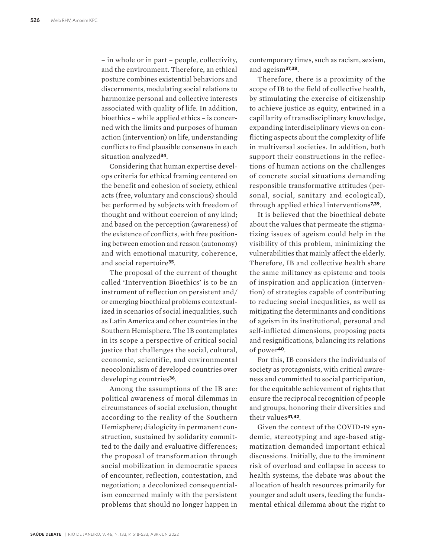– in whole or in part – people, collectivity, and the environment. Therefore, an ethical posture combines existential behaviors and discernments, modulating social relations to harmonize personal and collective interests associated with quality of life. In addition, bioethics – while applied ethics – is concerned with the limits and purposes of human action (intervention) on life, understanding conflicts to find plausible consensus in each situation analyzed**34**.

Considering that human expertise develops criteria for ethical framing centered on the benefit and cohesion of society, ethical acts (free, voluntary and conscious) should be: performed by subjects with freedom of thought and without coercion of any kind; and based on the perception (awareness) of the existence of conflicts, with free positioning between emotion and reason (autonomy) and with emotional maturity, coherence, and social repertoire**35**.

The proposal of the current of thought called 'Intervention Bioethics' is to be an instrument of reflection on persistent and/ or emerging bioethical problems contextualized in scenarios of social inequalities, such as Latin America and other countries in the Southern Hemisphere. The IB contemplates in its scope a perspective of critical social justice that challenges the social, cultural, economic, scientific, and environmental neocolonialism of developed countries over developing countries**36**.

Among the assumptions of the IB are: political awareness of moral dilemmas in circumstances of social exclusion, thought according to the reality of the Southern Hemisphere; dialogicity in permanent construction, sustained by solidarity committed to the daily and evaluative differences; the proposal of transformation through social mobilization in democratic spaces of encounter, reflection, contestation, and negotiation; a decolonized consequentialism concerned mainly with the persistent problems that should no longer happen in

contemporary times, such as racism, sexism, and ageism**37,38**.

Therefore, there is a proximity of the scope of IB to the field of collective health, by stimulating the exercise of citizenship to achieve justice as equity, entwined in a capillarity of transdisciplinary knowledge, expanding interdisciplinary views on conflicting aspects about the complexity of life in multiversal societies. In addition, both support their constructions in the reflections of human actions on the challenges of concrete social situations demanding responsible transformative attitudes (personal, social, sanitary and ecological), through applied ethical interventions**7,39**.

It is believed that the bioethical debate about the values that permeate the stigmatizing issues of ageism could help in the visibility of this problem, minimizing the vulnerabilities that mainly affect the elderly. Therefore, IB and collective health share the same militancy as episteme and tools of inspiration and application (intervention) of strategies capable of contributing to reducing social inequalities, as well as mitigating the determinants and conditions of ageism in its institutional, personal and self-inflicted dimensions, proposing pacts and resignifications, balancing its relations of power**40**.

For this, IB considers the individuals of society as protagonists, with critical awareness and committed to social participation, for the equitable achievement of rights that ensure the reciprocal recognition of people and groups, honoring their diversities and their values**41,42**.

Given the context of the COVID-19 syndemic, stereotyping and age-based stigmatization demanded important ethical discussions. Initially, due to the imminent risk of overload and collapse in access to health systems, the debate was about the allocation of health resources primarily for younger and adult users, feeding the fundamental ethical dilemma about the right to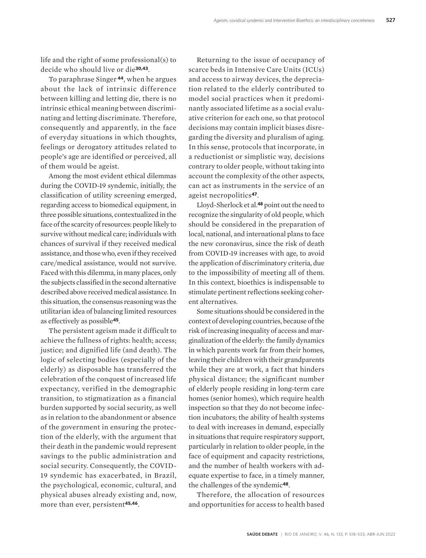life and the right of some professional(s) to decide who should live or die**30,43**.

To paraphrase Singer **44**, when he argues about the lack of intrinsic difference between killing and letting die, there is no intrinsic ethical meaning between discriminating and letting discriminate. Therefore, consequently and apparently, in the face of everyday situations in which thoughts, feelings or derogatory attitudes related to people's age are identified or perceived, all of them would be ageist.

Among the most evident ethical dilemmas during the COVID-19 syndemic, initially, the classification of utility screening emerged, regarding access to biomedical equipment, in three possible situations, contextualized in the face of the scarcity of resources: people likely to survive without medical care; individuals with chances of survival if they received medical assistance, and those who, even if they received care/medical assistance, would not survive. Faced with this dilemma, in many places, only the subjects classified in the second alternative described above received medical assistance. In this situation, the consensus reasoning was the utilitarian idea of balancing limited resources as effectively as possible**45**.

The persistent ageism made it difficult to achieve the fullness of rights: health; access; justice; and dignified life (and death). The logic of selecting bodies (especially of the elderly) as disposable has transferred the celebration of the conquest of increased life expectancy, verified in the demographic transition, to stigmatization as a financial burden supported by social security, as well as in relation to the abandonment or absence of the government in ensuring the protection of the elderly, with the argument that their death in the pandemic would represent savings to the public administration and social security. Consequently, the COVID-19 syndemic has exacerbated, in Brazil, the psychological, economic, cultural, and physical abuses already existing and, now, more than ever, persistent**45,46**.

Returning to the issue of occupancy of scarce beds in Intensive Care Units (ICUs) and access to airway devices, the depreciation related to the elderly contributed to model social practices when it predominantly associated lifetime as a social evaluative criterion for each one, so that protocol decisions may contain implicit biases disregarding the diversity and pluralism of aging. In this sense, protocols that incorporate, in a reductionist or simplistic way, decisions contrary to older people, without taking into account the complexity of the other aspects, can act as instruments in the service of an ageist necropolitics**47**.

Lloyd-Sherlock et al.**48** point out the need to recognize the singularity of old people, which should be considered in the preparation of local, national, and international plans to face the new coronavirus, since the risk of death from COVID-19 increases with age, to avoid the application of discriminatory criteria, due to the impossibility of meeting all of them. In this context, bioethics is indispensable to stimulate pertinent reflections seeking coherent alternatives.

Some situations should be considered in the context of developing countries, because of the risk of increasing inequality of access and marginalization of the elderly: the family dynamics in which parents work far from their homes, leaving their children with their grandparents while they are at work, a fact that hinders physical distance; the significant number of elderly people residing in long-term care homes (senior homes), which require health inspection so that they do not become infection incubators; the ability of health systems to deal with increases in demand, especially in situations that require respiratory support, particularly in relation to older people, in the face of equipment and capacity restrictions, and the number of health workers with adequate expertise to face, in a timely manner, the challenges of the syndemic**48**.

Therefore, the allocation of resources and opportunities for access to health based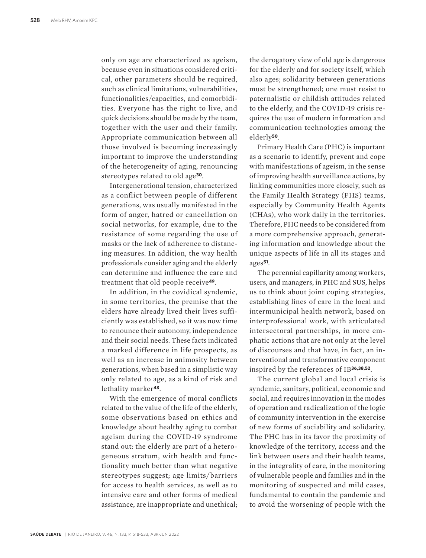only on age are characterized as ageism, because even in situations considered critical, other parameters should be required, such as clinical limitations, vulnerabilities, functionalities/capacities, and comorbidities. Everyone has the right to live, and quick decisions should be made by the team, together with the user and their family. Appropriate communication between all those involved is becoming increasingly important to improve the understanding of the heterogeneity of aging, renouncing stereotypes related to old age**30**.

Intergenerational tension, characterized as a conflict between people of different generations, was usually manifested in the form of anger, hatred or cancellation on social networks, for example, due to the resistance of some regarding the use of masks or the lack of adherence to distancing measures. In addition, the way health professionals consider aging and the elderly can determine and influence the care and treatment that old people receive**49**.

In addition, in the covidical syndemic, in some territories, the premise that the elders have already lived their lives sufficiently was established, so it was now time to renounce their autonomy, independence and their social needs. These facts indicated a marked difference in life prospects, as well as an increase in animosity between generations, when based in a simplistic way only related to age, as a kind of risk and lethality marker**43**.

With the emergence of moral conflicts related to the value of the life of the elderly, some observations based on ethics and knowledge about healthy aging to combat ageism during the COVID-19 syndrome stand out: the elderly are part of a heterogeneous stratum, with health and functionality much better than what negative stereotypes suggest; age limits/ barriers for access to health services, as well as to intensive care and other forms of medical assistance, are inappropriate and unethical;

the derogatory view of old age is dangerous for the elderly and for society itself, which also ages; solidarity between generations must be strengthened; one must resist to paternalistic or childish attitudes related to the elderly, and the COVID-19 crisis requires the use of modern information and communication technologies among the elderly**50**.

Primary Health Care (PHC) is important as a scenario to identify, prevent and cope with manifestations of ageism, in the sense of improving health surveillance actions, by linking communities more closely, such as the Family Health Strategy (FHS) teams, especially by Community Health Agents (CHAs), who work daily in the territories. Therefore, PHC needs to be considered from a more comprehensive approach, generating information and knowledge about the unique aspects of life in all its stages and ages**51**.

The perennial capillarity among workers, users, and managers, in PHC and SUS, helps us to think about joint coping strategies, establishing lines of care in the local and intermunicipal health network, based on interprofessional work, with articulated intersectoral partnerships, in more emphatic actions that are not only at the level of discourses and that have, in fact, an interventional and transformative component inspired by the references of IB**36,38,52**.

The current global and local crisis is syndemic, sanitary, political, economic and social, and requires innovation in the modes of operation and radicalization of the logic of community intervention in the exercise of new forms of sociability and solidarity. The PHC has in its favor the proximity of knowledge of the territory, access and the link between users and their health teams, in the integrality of care, in the monitoring of vulnerable people and families and in the monitoring of suspected and mild cases, fundamental to contain the pandemic and to avoid the worsening of people with the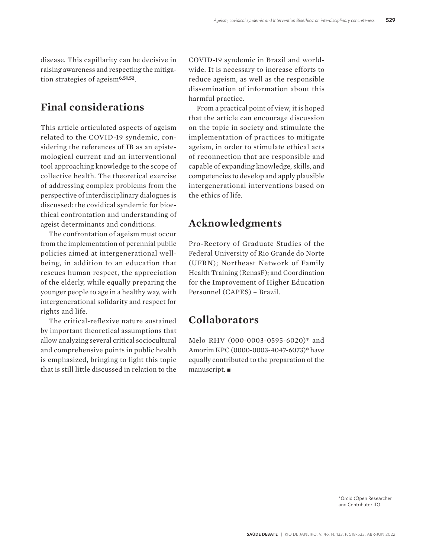disease. This capillarity can be decisive in raising awareness and respecting the mitigation strategies of ageism**6,51,52**.

## **Final considerations**

This article articulated aspects of ageism related to the COVID-19 syndemic, considering the references of IB as an epistemological current and an interventional tool approaching knowledge to the scope of collective health. The theoretical exercise of addressing complex problems from the perspective of interdisciplinary dialogues is discussed: the covidical syndemic for bioethical confrontation and understanding of ageist determinants and conditions.

The confrontation of ageism must occur from the implementation of perennial public policies aimed at intergenerational wellbeing, in addition to an education that rescues human respect, the appreciation of the elderly, while equally preparing the younger people to age in a healthy way, with intergenerational solidarity and respect for rights and life.

The critical-reflexive nature sustained by important theoretical assumptions that allow analyzing several critical sociocultural and comprehensive points in public health is emphasized, bringing to light this topic that is still little discussed in relation to the

COVID-19 syndemic in Brazil and worldwide. It is necessary to increase efforts to reduce ageism, as well as the responsible dissemination of information about this harmful practice.

From a practical point of view, it is hoped that the article can encourage discussion on the topic in society and stimulate the implementation of practices to mitigate ageism, in order to stimulate ethical acts of reconnection that are responsible and capable of expanding knowledge, skills, and competencies to develop and apply plausible intergenerational interventions based on the ethics of life.

## **Acknowledgments**

Pro-Rectory of Graduate Studies of the Federal University of Rio Grande do Norte (UFRN); Northeast Network of Family Health Training (RenasF); and Coordination for the Improvement of Higher Education Personnel (CAPES) – Brazil.

#### **Collaborators**

Melo RHV (000-0003-0595-6020)\* and Amorim KPC (0000-0003-4047-6073)\* have equally contributed to the preparation of the manuscript. $\blacksquare$ 

> \*Orcid (Open Researcher and Contributor ID).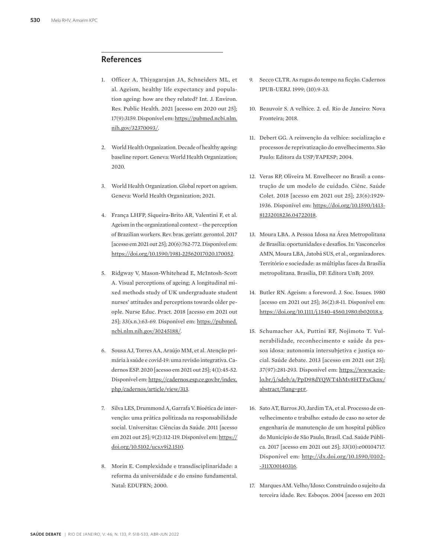#### **References**

- 1. Officer A, Thiyagarajan JA, Schneiders ML, et al. Ageism, healthy life expectancy and population ageing: how are they related? Int. J. Environ. Res. Public Health. 2021 [acesso em 2020 out 25]; 17(9):3159. Disponível em: https://pubmed.ncbi.nlm. nih.gov/32370093/.
- 2. World Health Organization. Decade of healthy ageing: baseline report. Geneva: World Health Organization; 2020.
- 3. World Health Organization. Global report on ageism. Geneva: World Health Organization; 2021.
- 4. França LHFP, Siqueira-Brito AR, Valentini F, et al. Ageism in the organizational context – the perception of Brazilian workers. Rev. bras. geriatr. gerontol. 2017 [acesso em 2021 out 25]; 20(6):762-772. Disponível em: https://doi.org/10.1590/1981-22562017020.170052.
- 5. Ridgway V, Mason-Whitehead E, McIntosh-Scott A. Visual perceptions of ageing; A longitudinal mixed methods study of UK undergraduate student nurses' attitudes and perceptions towards older people. Nurse Educ. Pract. 2018 [acesso em 2021 out 25]; 33(s.n.):63-69. Disponível em: https://pubmed. ncbi.nlm.nih.gov/30245188/.
- 6. Sousa AJ, Torres AA, Araújo MM, et al. Atenção primária à saúde e covid-19: uma revisão integrativa. Cadernos ESP. 2020 [acesso em 2021 out 25]; 4(1):45-52. Disponível em: https://cadernos.esp.ce.gov.br/index. php/cadernos/article/view/313.
- 7. Silva LES, Drummond A, Garrafa V. Bioética de intervenção: uma prática politizada na responsabilidade social. Universitas: Ciências da Saúde. 2011 [acesso em 2021 out 25]; 9(2):112-119. Disponível em: https:// doi.org/10.5102/ucs.v9i2.1510.
- 8. Morin E. Complexidade e transdisciplinaridade: a reforma da universidade e do ensino fundamental. Natal: EDUFRN; 2000.
- 9. Secco CLTR. As rugas do tempo na ficção. Cadernos IPUB-UERJ. 1999; (10):9-33.
- 10. Beauvoir S. A velhice. 2. ed. Rio de Janeiro: Nova Fronteira; 2018.
- 11. Debert GG. A reinvenção da velhice: socialização e processos de reprivatização do envelhecimento. São Paulo: Editora da USP/FAPESP; 2004.
- 12. Veras RP, Oliveira M. Envelhecer no Brasil: a construção de um modelo de cuidado. Ciênc. Saúde Colet. 2018 [acesso em 2021 out 25]; 23(6):1929- 1936. Disponível em: https://doi.org/10.1590/1413- 81232018236.04722018.
- 13. Moura LBA. A Pessoa Idosa na Área Metropolitana de Brasília: oportunidades e desafios. In: Vasconcelos AMN, Moura LBA, Jatobá SUS, et al., organizadores. Território e sociedade: as múltiplas faces da Brasília metropolitana. Brasília, DF: Editora UnB; 2019.
- 14. Butler RN. Ageism: a foreword. J. Soc. Issues. 1980 [acesso em 2021 out 25]; 36(2):8-11. Disponível em: https://doi.org/10.1111/j.1540-4560.1980.tb02018.x.
- 15. Schumacher AA, Puttini RF, Nojimoto T. Vulnerabilidade, reconhecimento e saúde da pessoa idosa: autonomia intersubjetiva e justiça social. Saúde debate. 2013 [acesso em 2021 out 25]; 37(97):281-293. Disponível em: https://www.scielo.br/j/sdeb/a/PpD98dYQWT4hMv8HTFxCknx/ abstract/?lang=pt#.
- 16. Sato AT, Barros JO, Jardim TA, et al. Processo de envelhecimento e trabalho: estudo de caso no setor de engenharia de manutenção de um hospital público do Município de São Paulo, Brasil. Cad. Saúde Pública. 2017 [acesso em 2021 out 25]; 33(10):e00104717. Disponível em: http://dx.doi.org/10.1590/0102- -311X00140316.
- 17. Marques AM. Velho/Idoso: Construindo o sujeito da terceira idade. Rev. Esboços. 2004 [acesso em 2021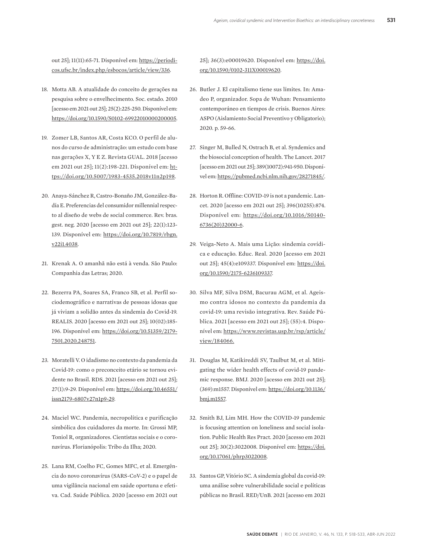out 25]; 11(11):65-71. Disponível em: https://periodicos.ufsc.br/index.php/esbocos/article/view/336.

- 18. Motta AB. A atualidade do conceito de gerações na pesquisa sobre o envelhecimento. Soc. estado. 2010 [acesso em 2021 out 25]; 25(2):225-250. Disponível em: https://doi.org/10.1590/S0102-69922010000200005.
- 19. Zomer LB, Santos AR, Costa KCO. O perfil de alunos do curso de administração: um estudo com base nas gerações X, Y E Z. Revista GUAL. 2018 [acesso em 2021 out 25]; 11(2):198-221. Disponível em: https://doi.org/10.5007/1983-4535.2018v11n2p198.
- 20. Anaya-Sánchez R, Castro-Bonaño JM, González-Badía E. Preferencias del consumidor millennial respecto al diseño de webs de social commerce. Rev. bras. gest. neg. 2020 [acesso em 2021 out 25]; 22(1):123- 139. Disponível em: https://doi.org/10.7819/rbgn. v22i1.4038.
- 21. Krenak A. O amanhã não está à venda. São Paulo: Companhia das Letras; 2020.
- 22. Bezerra PA, Soares SA, Franco SB, et al. Perfil sociodemográfico e narrativas de pessoas idosas que já viviam a solidão antes da sindemia do Covid-19. REALIS. 2020 [acesso em 2021 out 25]; 10(02):185- 196. Disponível em: https://doi.org/10.51359/2179- 7501.2020.248751.
- 23. Moratelli V. O idadismo no contexto da pandemia da Covid-19: como o preconceito etário se tornou evidente no Brasil. RDS. 2021 [acesso em 2021 out 25]; 27(1):9-29. Disponível em: https://doi.org/10.46551/ issn2179-6807v27n1p9-29.
- 24. Maciel WC. Pandemia, necropolítica e purificação simbólica dos cuidadores da morte. In: Grossi MP, Toniol R, organizadores. Cientistas sociais e o coronavírus. Florianópolis: Tribo da Ilha; 2020.
- 25. Lana RM, Coelho FC, Gomes MFC, et al. Emergência do novo coronavírus (SARS-CoV-2) e o papel de uma vigilância nacional em saúde oportuna e efetiva. Cad. Saúde Pública. 2020 [acesso em 2021 out

25]; 36(3):e00019620. Disponível em: https://doi. org/10.1590/0102-311X00019620.

- 26. Butler J. El capitalismo tiene sus límites. In: Amadeo P, organizador. Sopa de Wuhan: Pensamiento contemporáneo en tiempos de crisis. Buenos Aires: ASPO (Aislamiento Social Preventivo y Obligatorio); 2020. p. 59-66.
- 27. Singer M, Bulled N, Ostrach B, et al. Syndemics and the biosocial conception of health. The Lancet. 2017 [acesso em 2021 out 25]; 389(10072):941-950. Disponível em: https://pubmed.ncbi.nlm.nih.gov/28271845/.
- 28. Horton R. Offline: COVID-19 is not a pandemic. Lancet. 2020 [acesso em 2021 out 25]; 396(10255):874. Disponível em: https://doi.org/10.1016/S0140- 6736(20)32000-6.
- 29. Veiga-Neto A. Mais uma Lição: sindemia covídica e educação. Educ. Real. 2020 [acesso em 2021 out 25]; 45(4):e109337. Disponível em: https://doi. org/10.1590/2175-6236109337.
- 30. Silva MF, Silva DSM, Bacurau AGM, et al. Ageismo contra idosos no contexto da pandemia da covid-19: uma revisão integrativa. Rev. Saúde Pública. 2021 [acesso em 2021 out 25]; (55):4. Disponível em: https://www.revistas.usp.br/rsp/article/ view/184066.
- 31. Douglas M, Katikireddi SV, Taulbut M, et al. Mitigating the wider health effects of covid-19 pandemic response. BMJ. 2020 [acesso em 2021 out 25]; (369):m1557. Disponível em: https://doi.org/10.1136/ bmj.m1557.
- 32. Smith BJ, Lim MH. How the COVID-19 pandemic is focusing attention on loneliness and social isolation. Public Health Res Pract. 2020 [acesso em 2021 out 25]; 30(2):3022008. Disponível em: https://doi. org/10.17061/phrp3022008.
- 33. Santos GP, Vitório SC. A sindemia global da covid-19: uma análise sobre vulnerabilidade social e políticas públicas no Brasil. RED/UnB. 2021 [acesso em 2021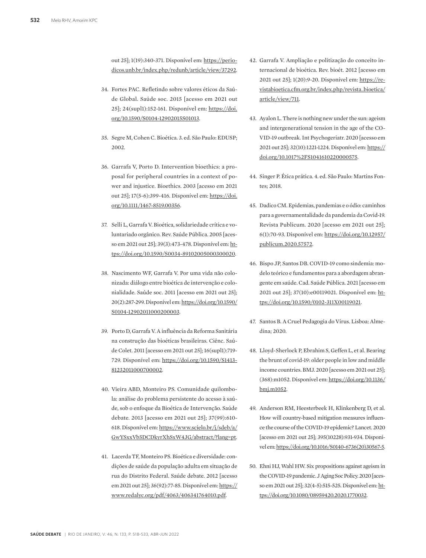out 25]; 1(19):340-371. Disponível em: https://periodicos.unb.br/index.php/redunb/article/view/37292.

- 34. Fortes PAC. Refletindo sobre valores éticos da Saúde Global. Saúde soc. 2015 [acesso em 2021 out 25]; 24(supl1):152-161. Disponível em: https://doi. org/10.1590/S0104-12902015S01013.
- 35. Segre M, Cohen C. Bioética. 3. ed. São Paulo: EDUSP; 2002.
- 36. Garrafa V, Porto D. Intervention bioethics: a proposal for peripheral countries in a context of power and injustice. Bioethics. 2003 [acesso em 2021 out 25]; 17(5-6):399-416. Disponível em: https://doi. org/10.1111/1467-8519.00356.
- 37. Selli L, Garrafa V. Bioética, solidariedade crítica e voluntariado orgânico. Rev. Saúde Pública. 2005 [acesso em 2021 out 25]; 39(3):473-478. Disponível em: https://doi.org/10.1590/S0034-89102005000300020.
- 38. Nascimento WF, Garrafa V. Por uma vida não colonizada: diálogo entre bioética de intervenção e colonialidade. Saúde soc. 2011 [acesso em 2021 out 25]; 20(2):287-299. Disponível em: https://doi.org/10.1590/ S0104-12902011000200003.
- 39. Porto D, Garrafa V. A influência da Reforma Sanitária na construção das bioéticas brasileiras. Ciênc. Saúde Colet. 2011 [acesso em 2021 out 25]; 16(supl1):719- 729. Disponível em: https://doi.org/10.1590/S1413- 81232011000700002.
- 40. Vieira ABD, Monteiro PS. Comunidade quilombola: análise do problema persistente do acesso à saúde, sob o enfoque da Bioética de Intervenção. Saúde debate. 2013 [acesso em 2021 out 25]; 37(99):610- 618. Disponível em: https://www.scielo.br/j/sdeb/a/ GwYSxxVb5DCDkyrXhSxW4JG/abstract/?lang=pt.
- 41. Lacerda TF, Monteiro PS. Bioética e diversidade: condições de saúde da população adulta em situação de rua do Distrito Federal. Saúde debate. 2012 [acesso em 2021 out 25]; 36(92):77-85. Disponível em: https:// www.redalyc.org/pdf/4063/406341764010.pdf.
- 42. Garrafa V. Ampliação e politização do conceito internacional de bioética. Rev. bioét. 2012 [acesso em 2021 out 25]; 1(20):9-20. Disponível em: https://revistabioetica.cfm.org.br/index.php/revista\_bioetica/ article/view/711.
- 43. Ayalon L. There is nothing new under the sun: ageism and intergenerational tension in the age of the CO-VID-19 outbreak. Int Psychogeriatr. 2020 [acesso em 2021 out 25]; 32(10):1221-1224. Disponível em: https:// doi.org/10.1017%2FS1041610220000575.
- 44. Singer P. Ética prática. 4. ed. São Paulo: Martins Fontes; 2018.
- 45. Dadico CM. Epidemias, pandemias e o ódio: caminhos para a governamentalidade da pandemia da Covid-19. Revista Publicum. 2020 [acesso em 2021 out 25]; 6(1):70-93. Disponível em: https://doi.org/10.12957/ publicum.2020.57572.
- 46. Bispo JP, Santos DB. COVID-19 como sindemia: modelo teórico e fundamentos para a abordagem abrangente em saúde. Cad. Saúde Pública. 2021 [acesso em 2021 out 25]; 37(10):e00119021. Disponível em: https://doi.org/10.1590/0102-311X00119021.
- 47. Santos B. A Cruel Pedagogia do Vírus. Lisboa: Almedina; 2020.
- 48. Lloyd-Sherlock P, Ebrahim S, Geffen L, et al. Bearing the brunt of covid-19: older people in low and middle income countries. BMJ. 2020 [acesso em 2021 out 25]; (368):m1052. Disponível em: https://doi.org/10.1136/ bmj.m1052.
- 49. Anderson RM, Heesterbeek H, Klinkenberg D, et al. How will country-based mitigation measures influence the course of the COVID-19 epidemic? Lancet. 2020 [acesso em 2021 out 25]; 395(10228):931-934. Disponível em: https://doi.org/10.1016/S0140-6736(20)30567-5.
- 50. Ehni HJ, Wahl HW. Six propositions against ageism in the COVID-19 pandemic. J Aging Soc Policy. 2020 [acesso em 2021 out 25]; 32(4-5):515-525. Disponível em: https://doi.org/10.1080/08959420.2020.1770032.